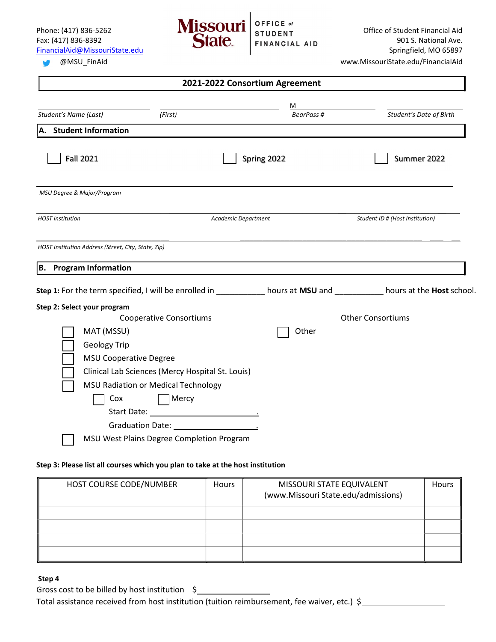

#### Ø

| 2021-2022 Consortium Agreement                                                                                           |                                                                 |             |                                 |  |  |  |
|--------------------------------------------------------------------------------------------------------------------------|-----------------------------------------------------------------|-------------|---------------------------------|--|--|--|
|                                                                                                                          |                                                                 | M           |                                 |  |  |  |
| Student's Name (Last)<br>(First)                                                                                         |                                                                 | BearPass #  | Student's Date of Birth         |  |  |  |
| A. Student Information                                                                                                   |                                                                 |             |                                 |  |  |  |
| <b>Fall 2021</b>                                                                                                         |                                                                 | Spring 2022 | Summer 2022                     |  |  |  |
| MSU Degree & Major/Program                                                                                               |                                                                 |             |                                 |  |  |  |
| <b>HOST</b> institution                                                                                                  | Academic Department                                             |             | Student ID # (Host Institution) |  |  |  |
| HOST Institution Address (Street, City, State, Zip)<br><b>B.</b> Program Information                                     |                                                                 |             |                                 |  |  |  |
| Step 1: For the term specified, I will be enrolled in ___________ hours at MSU and __________ hours at the Host school.  |                                                                 |             |                                 |  |  |  |
| Step 2: Select your program<br><b>Cooperative Consortiums</b><br>MAT (MSSU)<br>Geology Trip                              |                                                                 | Other       | <b>Other Consortiums</b>        |  |  |  |
| <b>MSU Cooperative Degree</b><br>Clinical Lab Sciences (Mercy Hospital St. Louis)<br>MSU Radiation or Medical Technology |                                                                 |             |                                 |  |  |  |
| Cox<br>MSU West Plains Degree Completion Program                                                                         | Mercy<br>Graduation Date: Same Management of the State of Table |             |                                 |  |  |  |

#### Step 3: Please list all courses which you plan to take at the host institution

| HOST COURSE CODE/NUMBER | Hours | MISSOURI STATE EQUIVALENT<br>(www.Missouri State.edu/admissions) | <b>Hours</b> |
|-------------------------|-------|------------------------------------------------------------------|--------------|
|                         |       |                                                                  |              |
|                         |       |                                                                  |              |
|                         |       |                                                                  |              |
|                         |       |                                                                  |              |

#### Step 4

Gross cost to be billed by host institution \$ Total assistance received from host institution (tuition reimbursement, fee waiver, etc.) \$